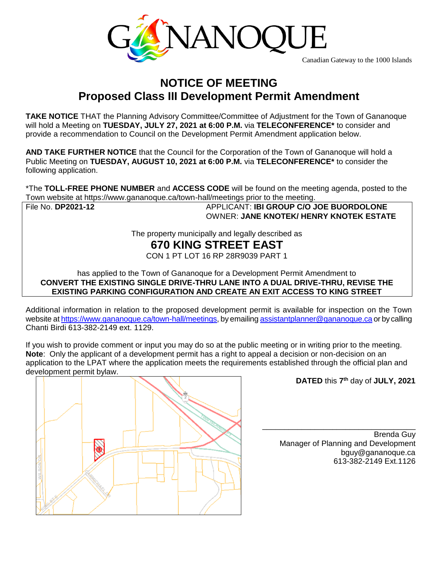

Canadian Gateway to the 1000 Islands

## **NOTICE OF MEETING Proposed Class III Development Permit Amendment**

**TAKE NOTICE** THAT the Planning Advisory Committee/Committee of Adjustment for the Town of Gananoque will hold a Meeting on **TUESDAY, JULY 27, 2021 at 6:00 P.M.** via **TELECONFERENCE\*** to consider and provide a recommendation to Council on the Development Permit Amendment application below.

**AND TAKE FURTHER NOTICE** that the Council for the Corporation of the Town of Gananoque will hold a Public Meeting on **TUESDAY, AUGUST 10, 2021 at 6:00 P.M.** via **TELECONFERENCE\*** to consider the following application.

\*The **TOLL-FREE PHONE NUMBER** and **ACCESS CODE** will be found on the meeting agenda, posted to the Town website at https://www.gananoque.ca/town-hall/meetings prior to the meeting.

File No. **DP2021-12** APPLICANT: **IBI GROUP C/O JOE BUORDOLONE** OWNER: **JANE KNOTEK/ HENRY KNOTEK ESTATE**

The property municipally and legally described as

## **670 KING STREET EAST**

CON 1 PT LOT 16 RP 28R9039 PART 1

has applied to the Town of Gananoque for a Development Permit Amendment to **CONVERT THE EXISTING SINGLE DRIVE-THRU LANE INTO A DUAL DRIVE-THRU, REVISE THE EXISTING PARKING CONFIGURATION AND CREATE AN EXIT ACCESS TO KING STREET**

Additional information in relation to the proposed development permit is available for inspection on the Town website a[t https://www.gananoque.ca/town-hall/meetings,](https://www.gananoque.ca/town-hall/meetings) by emailin[g assistantplanner@gananoque.ca](mailto:assistantplanner@gananoque.ca) or by calling Chanti Birdi 613-382-2149 ext. 1129.

If you wish to provide comment or input you may do so at the public meeting or in writing prior to the meeting. **Note**: Only the applicant of a development permit has a right to appeal a decision or non-decision on an application to the LPAT where the application meets the requirements established through the official plan and development permit bylaw.



**DATED** this **7 th** day of **JULY, 2021**

Brenda Guy Manager of Planning and Development bguy@gananoque.ca 613-382-2149 Ext.1126

\_\_\_\_\_\_\_\_\_\_\_\_\_\_\_\_\_\_\_\_\_\_\_\_\_\_\_\_\_\_\_\_\_\_\_